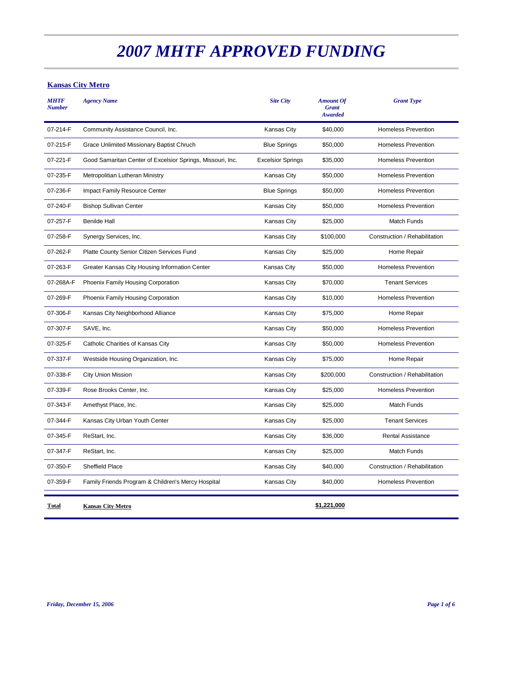#### **Kansas City Metro**

| <b>MHTF</b><br><b>Number</b> | <b>Agency Name</b>                                         | <b>Site City</b>         | <b>Amount Of</b><br><b>Grant</b><br><b>Awarded</b> | <b>Grant Type</b>             |
|------------------------------|------------------------------------------------------------|--------------------------|----------------------------------------------------|-------------------------------|
| 07-214-F                     | Community Assistance Council, Inc.                         | <b>Kansas City</b>       | \$40,000                                           | <b>Homeless Prevention</b>    |
| 07-215-F                     | Grace Unlimited Missionary Baptist Chruch                  | <b>Blue Springs</b>      | \$50,000                                           | <b>Homeless Prevention</b>    |
| 07-221-F                     | Good Samaritan Center of Excelsior Springs, Missouri, Inc. | <b>Excelsior Springs</b> | \$35,000                                           | <b>Homeless Prevention</b>    |
| 07-235-F                     | Metropolitian Lutheran Ministry                            | <b>Kansas City</b>       | \$50,000                                           | <b>Homeless Prevention</b>    |
| 07-236-F                     | Impact Family Resource Center                              | <b>Blue Springs</b>      | \$50,000                                           | <b>Homeless Prevention</b>    |
| 07-240-F                     | <b>Bishop Sullivan Center</b>                              | <b>Kansas City</b>       | \$50,000                                           | <b>Homeless Prevention</b>    |
| 07-257-F                     | <b>Benilde Hall</b>                                        | <b>Kansas City</b>       | \$25,000                                           | <b>Match Funds</b>            |
| 07-258-F                     | Synergy Services, Inc.                                     | <b>Kansas City</b>       | \$100,000                                          | Construction / Rehabilitation |
| 07-262-F                     | Platte County Senior Citizen Services Fund                 | <b>Kansas City</b>       | \$25,000                                           | Home Repair                   |
| 07-263-F                     | Greater Kansas City Housing Information Center             | Kansas City              | \$50,000                                           | <b>Homeless Prevention</b>    |
| 07-268A-F                    | Phoenix Family Housing Corporation                         | <b>Kansas City</b>       | \$70,000                                           | <b>Tenant Services</b>        |
| 07-269-F                     | Phoenix Family Housing Corporation                         | <b>Kansas City</b>       | \$10,000                                           | <b>Homeless Prevention</b>    |
| 07-306-F                     | Kansas City Neighborhood Alliance                          | <b>Kansas City</b>       | \$75,000                                           | Home Repair                   |
| 07-307-F                     | SAVE, Inc.                                                 | Kansas City              | \$50,000                                           | <b>Homeless Prevention</b>    |
| 07-325-F                     | Catholic Charities of Kansas City                          | <b>Kansas City</b>       | \$50,000                                           | <b>Homeless Prevention</b>    |
| 07-337-F                     | Westside Housing Organization, Inc.                        | <b>Kansas City</b>       | \$75,000                                           | Home Repair                   |
| 07-338-F                     | <b>City Union Mission</b>                                  | <b>Kansas City</b>       | \$200,000                                          | Construction / Rehabilitation |
| 07-339-F                     | Rose Brooks Center, Inc.                                   | Kansas City              | \$25,000                                           | <b>Homeless Prevention</b>    |
| 07-343-F                     | Amethyst Place, Inc.                                       | Kansas City              | \$25,000                                           | Match Funds                   |
| 07-344-F                     | Kansas City Urban Youth Center                             | <b>Kansas City</b>       | \$25,000                                           | <b>Tenant Services</b>        |
| 07-345-F                     | ReStart, Inc.                                              | <b>Kansas City</b>       | \$36,000                                           | <b>Rental Assistance</b>      |
| 07-347-F                     | ReStart, Inc.                                              | Kansas City              | \$25,000                                           | <b>Match Funds</b>            |
| 07-350-F                     | Sheffield Place                                            | <b>Kansas City</b>       | \$40,000                                           | Construction / Rehabilitation |
| 07-359-F                     | Family Friends Program & Children's Mercy Hospital         | <b>Kansas City</b>       | \$40,000                                           | <b>Homeless Prevention</b>    |
| Total                        | <b>Kansas City Metro</b>                                   |                          | \$1,221,000                                        |                               |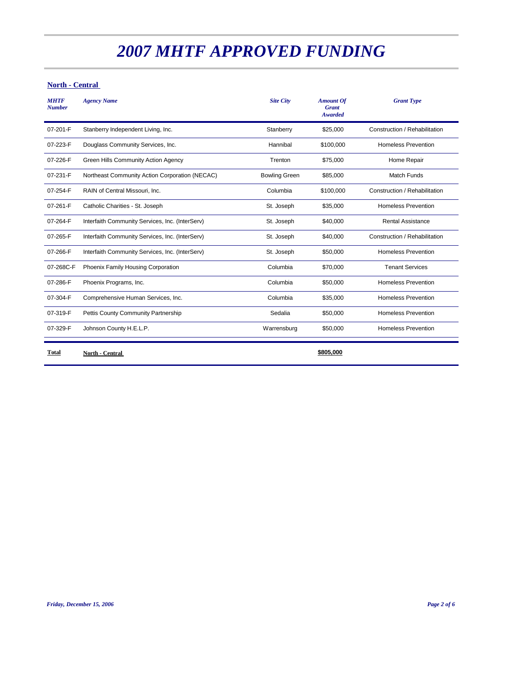#### **North - Central**

| <b>MHTF</b><br><b>Number</b> | <b>Agency Name</b>                              | <b>Site City</b>     | <b>Amount Of</b><br><b>Grant</b><br><b>Awarded</b> | <b>Grant Type</b>             |
|------------------------------|-------------------------------------------------|----------------------|----------------------------------------------------|-------------------------------|
| 07-201-F                     | Stanberry Independent Living, Inc.              | Stanberry            | \$25,000                                           | Construction / Rehabilitation |
| 07-223-F                     | Douglass Community Services, Inc.               | Hannibal             | \$100,000                                          | <b>Homeless Prevention</b>    |
| 07-226-F                     | Green Hills Community Action Agency             | Trenton              | \$75,000                                           | Home Repair                   |
| 07-231-F                     | Northeast Community Action Corporation (NECAC)  | <b>Bowling Green</b> | \$85,000                                           | <b>Match Funds</b>            |
| 07-254-F                     | RAIN of Central Missouri, Inc.                  | Columbia             | \$100,000                                          | Construction / Rehabilitation |
| 07-261-F                     | Catholic Charities - St. Joseph                 | St. Joseph           | \$35,000                                           | <b>Homeless Prevention</b>    |
| 07-264-F                     | Interfaith Community Services, Inc. (InterServ) | St. Joseph           | \$40,000                                           | <b>Rental Assistance</b>      |
| 07-265-F                     | Interfaith Community Services, Inc. (InterServ) | St. Joseph           | \$40,000                                           | Construction / Rehabilitation |
| 07-266-F                     | Interfaith Community Services, Inc. (InterServ) | St. Joseph           | \$50,000                                           | <b>Homeless Prevention</b>    |
| 07-268C-F                    | Phoenix Family Housing Corporation              | Columbia             | \$70,000                                           | <b>Tenant Services</b>        |
| 07-286-F                     | Phoenix Programs, Inc.                          | Columbia             | \$50,000                                           | <b>Homeless Prevention</b>    |
| 07-304-F                     | Comprehensive Human Services, Inc.              | Columbia             | \$35,000                                           | <b>Homeless Prevention</b>    |
| 07-319-F                     | Pettis County Community Partnership             | Sedalia              | \$50,000                                           | <b>Homeless Prevention</b>    |
| 07-329-F                     | Johnson County H.E.L.P.                         | Warrensburg          | \$50,000                                           | <b>Homeless Prevention</b>    |
| Total                        | North - Central                                 |                      | \$805,000                                          |                               |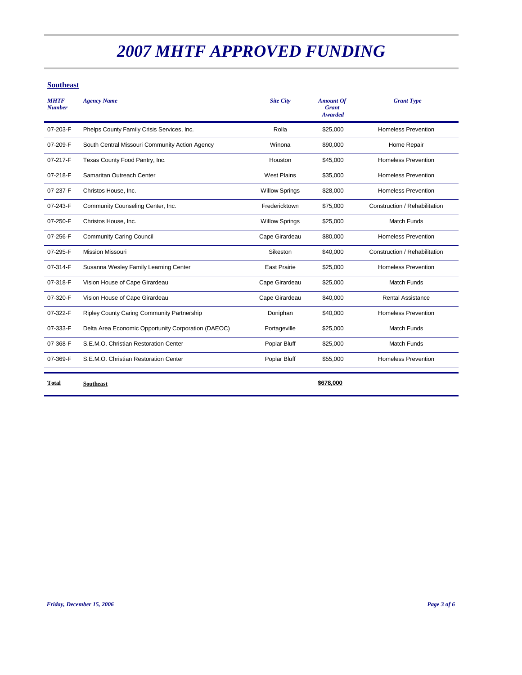#### **Southeast**

| <b>MHTF</b><br><b>Number</b> | <b>Agency Name</b>                                  | <b>Site City</b>      | <b>Amount Of</b><br><b>Grant</b><br><b>Awarded</b> | <b>Grant Type</b>             |
|------------------------------|-----------------------------------------------------|-----------------------|----------------------------------------------------|-------------------------------|
| 07-203-F                     | Phelps County Family Crisis Services, Inc.          | Rolla                 | \$25,000                                           | <b>Homeless Prevention</b>    |
| 07-209-F                     | South Central Missouri Community Action Agency      | Winona                | \$90,000                                           | Home Repair                   |
| 07-217-F                     | Texas County Food Pantry, Inc.                      | Houston               | \$45,000                                           | <b>Homeless Prevention</b>    |
| 07-218-F                     | Samaritan Outreach Center                           | <b>West Plains</b>    | \$35,000                                           | <b>Homeless Prevention</b>    |
| 07-237-F                     | Christos House, Inc.                                | <b>Willow Springs</b> | \$28,000                                           | <b>Homeless Prevention</b>    |
| 07-243-F                     | Community Counseling Center, Inc.                   | Fredericktown         | \$75,000                                           | Construction / Rehabilitation |
| 07-250-F                     | Christos House, Inc.                                | <b>Willow Springs</b> | \$25,000                                           | <b>Match Funds</b>            |
| 07-256-F                     | <b>Community Caring Council</b>                     | Cape Girardeau        | \$80,000                                           | <b>Homeless Prevention</b>    |
| 07-295-F                     | <b>Mission Missouri</b>                             | Sikeston              | \$40,000                                           | Construction / Rehabilitation |
| 07-314-F                     | Susanna Wesley Family Learning Center               | <b>East Prairie</b>   | \$25,000                                           | <b>Homeless Prevention</b>    |
| 07-318-F                     | Vision House of Cape Girardeau                      | Cape Girardeau        | \$25,000                                           | <b>Match Funds</b>            |
| 07-320-F                     | Vision House of Cape Girardeau                      | Cape Girardeau        | \$40,000                                           | <b>Rental Assistance</b>      |
| 07-322-F                     | Ripley County Caring Community Partnership          | Doniphan              | \$40,000                                           | <b>Homeless Prevention</b>    |
| 07-333-F                     | Delta Area Economic Opportunity Corporation (DAEOC) | Portageville          | \$25,000                                           | <b>Match Funds</b>            |
| 07-368-F                     | S.E.M.O. Christian Restoration Center               | Poplar Bluff          | \$25,000                                           | Match Funds                   |
| 07-369-F                     | S.E.M.O. Christian Restoration Center               | Poplar Bluff          | \$55,000                                           | <b>Homeless Prevention</b>    |
| Total                        | <b>Southeast</b>                                    |                       | \$678,000                                          |                               |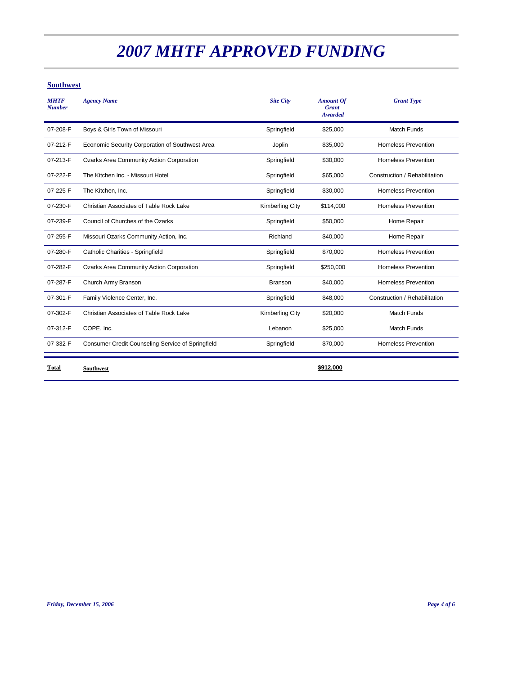#### **Southwest**

| <b>MHTF</b><br><b>Number</b> | <b>Agency Name</b>                                | <b>Site City</b>       | <b>Amount Of</b><br><b>Grant</b><br><b>Awarded</b> | <b>Grant Type</b>             |
|------------------------------|---------------------------------------------------|------------------------|----------------------------------------------------|-------------------------------|
| 07-208-F                     | Boys & Girls Town of Missouri                     | Springfield            | \$25,000                                           | <b>Match Funds</b>            |
| 07-212-F                     | Economic Security Corporation of Southwest Area   | Joplin                 | \$35,000                                           | <b>Homeless Prevention</b>    |
| 07-213-F                     | Ozarks Area Community Action Corporation          | Springfield            | \$30,000                                           | <b>Homeless Prevention</b>    |
| 07-222-F                     | The Kitchen Inc. - Missouri Hotel                 | Springfield            | \$65,000                                           | Construction / Rehabilitation |
| 07-225-F                     | The Kitchen, Inc.                                 | Springfield            | \$30,000                                           | <b>Homeless Prevention</b>    |
| 07-230-F                     | Christian Associates of Table Rock Lake           | <b>Kimberling City</b> | \$114,000                                          | <b>Homeless Prevention</b>    |
| 07-239-F                     | Council of Churches of the Ozarks                 | Springfield            | \$50,000                                           | Home Repair                   |
| 07-255-F                     | Missouri Ozarks Community Action, Inc.            | Richland               | \$40,000                                           | Home Repair                   |
| 07-280-F                     | Catholic Charities - Springfield                  | Springfield            | \$70,000                                           | <b>Homeless Prevention</b>    |
| 07-282-F                     | Ozarks Area Community Action Corporation          | Springfield            | \$250,000                                          | <b>Homeless Prevention</b>    |
| 07-287-F                     | Church Army Branson                               | <b>Branson</b>         | \$40,000                                           | <b>Homeless Prevention</b>    |
| 07-301-F                     | Family Violence Center, Inc.                      | Springfield            | \$48,000                                           | Construction / Rehabilitation |
| 07-302-F                     | Christian Associates of Table Rock Lake           | <b>Kimberling City</b> | \$20,000                                           | <b>Match Funds</b>            |
| 07-312-F                     | COPE, Inc.                                        | Lebanon                | \$25,000                                           | <b>Match Funds</b>            |
| 07-332-F                     | Consumer Credit Counseling Service of Springfield | Springfield            | \$70,000                                           | <b>Homeless Prevention</b>    |
| Total                        | <b>Southwest</b>                                  |                        | \$912,000                                          |                               |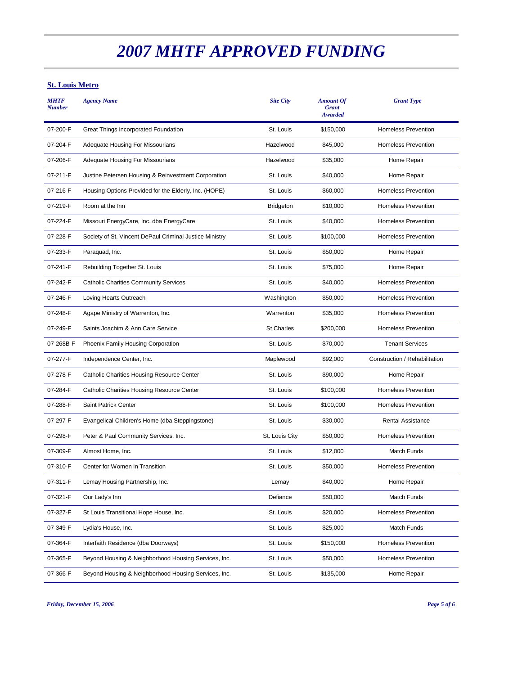#### **St. Louis Metro**

| <b>MHTF</b><br><b>Number</b> | <b>Agency Name</b>                                      | <b>Site City</b>  | <b>Amount Of</b><br><b>Grant</b><br><b>Awarded</b> | <b>Grant Type</b>             |
|------------------------------|---------------------------------------------------------|-------------------|----------------------------------------------------|-------------------------------|
| 07-200-F                     | Great Things Incorporated Foundation                    | St. Louis         | \$150,000                                          | <b>Homeless Prevention</b>    |
| 07-204-F                     | Adequate Housing For Missourians                        | Hazelwood         | \$45,000                                           | <b>Homeless Prevention</b>    |
| 07-206-F                     | Adequate Housing For Missourians                        | Hazelwood         | \$35,000                                           | Home Repair                   |
| 07-211-F                     | Justine Petersen Housing & Reinvestment Corporation     | St. Louis         | \$40,000                                           | Home Repair                   |
| 07-216-F                     | Housing Options Provided for the Elderly, Inc. (HOPE)   | St. Louis         | \$60,000                                           | <b>Homeless Prevention</b>    |
| 07-219-F                     | Room at the Inn                                         | <b>Bridgeton</b>  | \$10,000                                           | <b>Homeless Prevention</b>    |
| 07-224-F                     | Missouri EnergyCare, Inc. dba EnergyCare                | St. Louis         | \$40,000                                           | <b>Homeless Prevention</b>    |
| 07-228-F                     | Society of St. Vincent DePaul Criminal Justice Ministry | St. Louis         | \$100,000                                          | <b>Homeless Prevention</b>    |
| 07-233-F                     | Paraquad, Inc.                                          | St. Louis         | \$50,000                                           | Home Repair                   |
| 07-241-F                     | Rebuilding Together St. Louis                           | St. Louis         | \$75,000                                           | Home Repair                   |
| 07-242-F                     | <b>Catholic Charities Community Services</b>            | St. Louis         | \$40,000                                           | <b>Homeless Prevention</b>    |
| 07-246-F                     | Loving Hearts Outreach                                  | Washington        | \$50,000                                           | <b>Homeless Prevention</b>    |
| 07-248-F                     | Agape Ministry of Warrenton, Inc.                       | Warrenton         | \$35,000                                           | <b>Homeless Prevention</b>    |
| 07-249-F                     | Saints Joachim & Ann Care Service                       | <b>St Charles</b> | \$200,000                                          | <b>Homeless Prevention</b>    |
| 07-268B-F                    | Phoenix Family Housing Corporation                      | St. Louis         | \$70,000                                           | <b>Tenant Services</b>        |
| 07-277-F                     | Independence Center, Inc.                               | Maplewood         | \$92,000                                           | Construction / Rehabilitation |
| 07-278-F                     | Catholic Charities Housing Resource Center              | St. Louis         | \$90,000                                           | Home Repair                   |
| 07-284-F                     | Catholic Charities Housing Resource Center              | St. Louis         | \$100,000                                          | <b>Homeless Prevention</b>    |
| 07-288-F                     | Saint Patrick Center                                    | St. Louis         | \$100,000                                          | <b>Homeless Prevention</b>    |
| 07-297-F                     | Evangelical Children's Home (dba Steppingstone)         | St. Louis         | \$30,000                                           | <b>Rental Assistance</b>      |
| 07-298-F                     | Peter & Paul Community Services, Inc.                   | St. Louis City    | \$50,000                                           | <b>Homeless Prevention</b>    |
| 07-309-F                     | Almost Home, Inc.                                       | St. Louis         | \$12,000                                           | Match Funds                   |
| 07-310-F                     | Center for Women in Transition                          | St. Louis         | \$50,000                                           | <b>Homeless Prevention</b>    |
| 07-311-F                     | Lemay Housing Partnership, Inc.                         | Lemay             | \$40,000                                           | Home Repair                   |
| 07-321-F                     | Our Lady's Inn                                          | Defiance          | \$50,000                                           | Match Funds                   |
| 07-327-F                     | St Louis Transitional Hope House, Inc.                  | St. Louis         | \$20,000                                           | <b>Homeless Prevention</b>    |
| 07-349-F                     | Lydia's House, Inc.                                     | St. Louis         | \$25,000                                           | Match Funds                   |
| 07-364-F                     | Interfaith Residence (dba Doorways)                     | St. Louis         | \$150,000                                          | <b>Homeless Prevention</b>    |
| 07-365-F                     | Beyond Housing & Neighborhood Housing Services, Inc.    | St. Louis         | \$50,000                                           | <b>Homeless Prevention</b>    |
| 07-366-F                     | Beyond Housing & Neighborhood Housing Services, Inc.    | St. Louis         | \$135,000                                          | Home Repair                   |